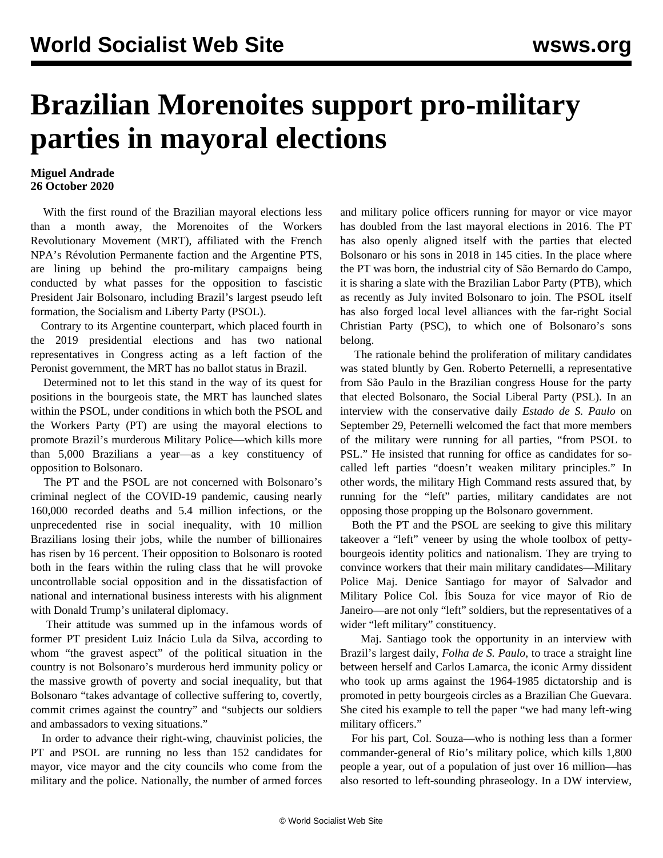## **Brazilian Morenoites support pro-military parties in mayoral elections**

## **Miguel Andrade 26 October 2020**

 With the first round of the Brazilian mayoral elections less than a month away, the Morenoites of the Workers Revolutionary Movement (MRT), affiliated with the French NPA's Révolution Permanente faction and the Argentine PTS, are lining up behind the pro-military campaigns being conducted by what passes for the opposition to fascistic President Jair Bolsonaro, including Brazil's largest pseudo left formation, the Socialism and Liberty Party (PSOL).

 Contrary to its Argentine counterpart, which placed fourth in the 2019 presidential elections and has two national representatives in Congress acting as a left faction of the Peronist government, the MRT has no ballot status in Brazil.

 Determined not to let this stand in the way of its quest for positions in the bourgeois state, the MRT has launched slates within the PSOL, under conditions in which both the PSOL and the Workers Party (PT) are using the mayoral elections to promote Brazil's murderous Military Police—which kills more than 5,000 Brazilians a year—as a key constituency of opposition to Bolsonaro.

 The PT and the PSOL are not concerned with Bolsonaro's criminal neglect of the COVID-19 pandemic, causing nearly 160,000 recorded deaths and 5.4 million infections, or the unprecedented rise in social inequality, with 10 million Brazilians losing their jobs, while the number of billionaires has risen by 16 percent. Their opposition to Bolsonaro is rooted both in the fears within the ruling class that he will provoke uncontrollable social opposition and in the dissatisfaction of national and international business interests with his alignment with Donald Trump's unilateral diplomacy.

 Their attitude was summed up in the infamous words of former PT president Luiz Inácio Lula da Silva, according to whom "the gravest aspect" of the political situation in the country is not Bolsonaro's murderous herd immunity policy or the massive growth of poverty and social inequality, but that Bolsonaro "takes advantage of collective suffering to, covertly, commit crimes against the country" and "subjects our soldiers and ambassadors to vexing situations."

 In order to advance their right-wing, chauvinist policies, the PT and PSOL are running no less than 152 candidates for mayor, vice mayor and the city councils who come from the military and the police. Nationally, the number of armed forces and military police officers running for mayor or vice mayor has doubled from the last mayoral elections in 2016. The PT has also openly aligned itself with the parties that elected Bolsonaro or his sons in 2018 in 145 cities. In the place where the PT was born, the industrial city of São Bernardo do Campo, it is sharing a slate with the Brazilian Labor Party (PTB), which as recently as July invited Bolsonaro to join. The PSOL itself has also forged local level alliances with the far-right Social Christian Party (PSC), to which one of Bolsonaro's sons belong.

 The rationale behind the proliferation of military candidates was stated bluntly by Gen. Roberto Peternelli, a representative from São Paulo in the Brazilian congress House for the party that elected Bolsonaro, the Social Liberal Party (PSL). In an interview with the conservative daily *Estado de S. Paulo* on September 29, Peternelli welcomed the fact that more members of the military were running for all parties, "from PSOL to PSL." He insisted that running for office as candidates for socalled left parties "doesn't weaken military principles." In other words, the military High Command rests assured that, by running for the "left" parties, military candidates are not opposing those propping up the Bolsonaro government.

 Both the PT and the PSOL are seeking to give this military takeover a "left" veneer by using the whole toolbox of pettybourgeois identity politics and nationalism. They are trying to convince workers that their main military candidates—Military Police Maj. Denice Santiago for mayor of Salvador and Military Police Col. Íbis Souza for vice mayor of Rio de Janeiro—are not only "left" soldiers, but the representatives of a wider "left military" constituency.

 Maj. Santiago took the opportunity in an interview with Brazil's largest daily, *Folha de S. Paulo*, to trace a straight line between herself and Carlos Lamarca, the iconic Army dissident who took up arms against the 1964-1985 dictatorship and is promoted in petty bourgeois circles as a Brazilian Che Guevara. She cited his example to tell the paper "we had many left-wing military officers."

 For his part, Col. Souza—who is nothing less than a former commander-general of Rio's military police, which kills 1,800 people a year, out of a population of just over 16 million—has also resorted to left-sounding phraseology. In a DW interview,